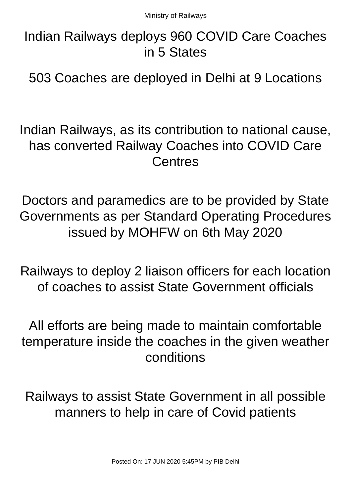Indian Railways deploys 960 COVID Care Coaches in 5 States

503 Coaches are deployed in Delhi at 9 Locations

Indian Railways, as its contribution to national cause, has converted Railway Coaches into COVID Care **Centres** 

Doctors and paramedics are to be provided by State Governments as per Standard Operating Procedures issued by MOHFW on 6th May 2020

Railways to deploy 2 liaison officers for each location of coaches to assist State Government officials

All efforts are being made to maintain comfortable temperature inside the coaches in the given weather conditions

Railways to assist State Government in all possible manners to help in care of Covid patients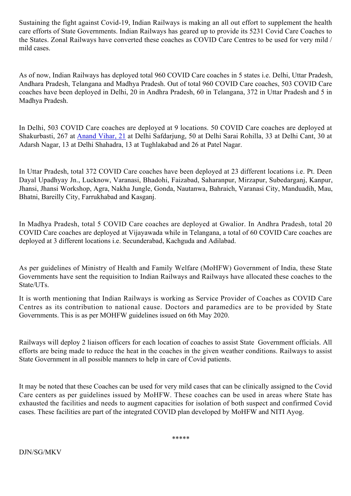Sustaining the fight against Covid-19, Indian Railways is making an all out effort to supplement the health care efforts of State Governments. Indian Railways has geared up to provide its 5231 Covid Care Coaches to the States. Zonal Railways have converted these coaches as COVID Care Centres to be used for very mild / mild cases.

As of now, Indian Railways has deployed total 960 COVID Care coaches in 5 states i.e. Delhi, Uttar Pradesh, Andhara Pradesh, Telangana and Madhya Pradesh. Out of total 960 COVID Care coaches, 503 COVID Care coaches have been deployed in Delhi, 20 in Andhra Pradesh, 60 in Telangana, 372 in Uttar Pradesh and 5 in Madhya Pradesh.

In Delhi, 503 COVID Care coaches are deployed at 9 locations. 50 COVID Care coaches are deployed at Shakurbasti, 267 at [Anand Vihar, 21](https://www.google.com/maps/search/Anand+Vihar,+21?entry=gmail&source=g) at Delhi Safdarjung, 50 at Delhi Sarai Rohilla, 33 at Delhi Cant, 30 at Adarsh Nagar, 13 at Delhi Shahadra, 13 at Tughlakabad and 26 at Patel Nagar.

In Uttar Pradesh, total 372 COVID Care coaches have been deployed at 23 different locations i.e. Pt. Deen Dayal Upadhyay Jn., Lucknow, Varanasi, Bhadohi, Faizabad, Saharanpur, Mirzapur, Subedarganj, Kanpur, Jhansi, Jhansi Workshop, Agra, Nakha Jungle, Gonda, Nautanwa, Bahraich, Varanasi City, Manduadih, Mau, Bhatni, Bareilly City, Farrukhabad and Kasganj.

In Madhya Pradesh, total 5 COVID Care coaches are deployed at Gwalior. In Andhra Pradesh, total 20 COVID Care coaches are deployed at Vijayawada while in Telangana, a total of 60 COVID Care coaches are deployed at 3 different locations i.e. Secunderabad, Kachguda and Adilabad.

As per guidelines of Ministry of Health and Family Welfare (MoHFW) Government of India, these State Governments have sent the requisition to Indian Railways and Railways have allocated these coaches to the State/UTs.

It is worth mentioning that Indian Railways is working as Service Provider of Coaches as COVID Care Centres as its contribution to national cause. Doctors and paramedics are to be provided by State Governments. This is as per MOHFW guidelines issued on 6th May 2020.

Railways will deploy 2 liaison officers for each location of coaches to assist State Government officials. All efforts are being made to reduce the heat in the coaches in the given weather conditions. Railways to assist State Government in all possible manners to help in care of Covid patients.

It may be noted that these Coaches can be used for very mild cases that can be clinically assigned to the Covid Care centers as per guidelines issued by MoHFW. These coaches can be used in areas where State has exhausted the facilities and needs to augment capacities for isolation of both suspect and confirmed Covid cases. These facilities are part of the integrated COVID plan developed by MoHFW and NITI Ayog.